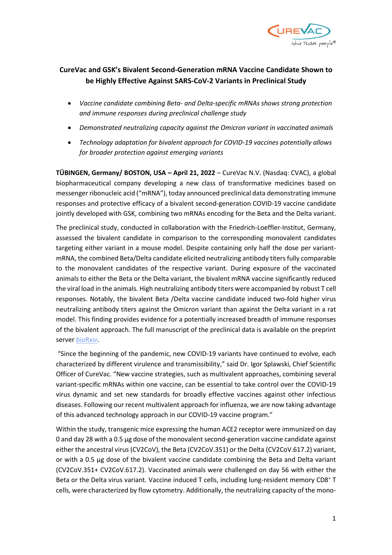

# **CureVac and GSK's Bivalent Second-Generation mRNA Vaccine Candidate Shown to be Highly Effective Against SARS-CoV-2 Variants in Preclinical Study**

- *Vaccine candidate combining Beta- and Delta-specific mRNAs shows strong protection and immune responses during preclinical challenge study*
- *Demonstrated neutralizing capacity against the Omicron variant in vaccinated animals*
- *Technology adaptation for bivalent approach for COVID-19 vaccines potentially allows for broader protection against emerging variants*

**TÜBINGEN, Germany/ BOSTON, USA – April 21, 2022** – CureVac N.V. (Nasdaq: CVAC), a global biopharmaceutical company developing a new class of transformative medicines based on messenger ribonucleic acid ("mRNA"), today announced preclinical data demonstrating immune responses and protective efficacy of a bivalent second-generation COVID-19 vaccine candidate jointly developed with GSK, combining two mRNAs encoding for the Beta and the Delta variant.

The preclinical study, conducted in collaboration with the Friedrich-Loeffler-Institut, Germany, assessed the bivalent candidate in comparison to the corresponding monovalent candidates targeting either variant in a mouse model. Despite containing only half the dose per variantmRNA, the combined Beta/Delta candidate elicited neutralizing antibody titers fully comparable to the monovalent candidates of the respective variant. During exposure of the vaccinated animals to either the Beta or the Delta variant, the bivalent mRNA vaccine significantly reduced the viral load in the animals. High neutralizing antibody titers were accompanied by robust T cell responses. Notably, the bivalent Beta /Delta vaccine candidate induced two-fold higher virus neutralizing antibody titers against the Omicron variant than against the Delta variant in a rat model. This finding provides evidence for a potentially increased breadth of immune responses of the bivalent approach. The full manuscript of the preclinical data is available on the preprint server [bioRxiv.](https://www.biorxiv.org/content/10.1101/2022.04.20.485440v1.article-info)

"Since the beginning of the pandemic, new COVID-19 variants have continued to evolve, each characterized by different virulence and transmissibility," said Dr. Igor Splawski, Chief Scientific Officer of CureVac. "New vaccine strategies, such as multivalent approaches, combining several variant-specific mRNAs within one vaccine, can be essential to take control over the COVID-19 virus dynamic and set new standards for broadly effective vaccines against other infectious diseases. Following our recent multivalent approach for influenza, we are now taking advantage of this advanced technology approach in our COVID-19 vaccine program."

Within the study, transgenic mice expressing the human ACE2 receptor were immunized on day 0 and day 28 with a 0.5 µg dose of the monovalent second-generation vaccine candidate against either the ancestral virus (CV2CoV), the Beta (CV2CoV.351) or the Delta (CV2CoV.617.2) variant, or with a 0.5 µg dose of the bivalent vaccine candidate combining the Beta and Delta variant (CV2CoV.351+ CV2CoV.617.2). Vaccinated animals were challenged on day 56 with either the Beta or the Delta virus variant. Vaccine induced T cells, including lung-resident memory CD8<sup>+</sup> T cells, were characterized by flow cytometry. Additionally, the neutralizing capacity of the mono-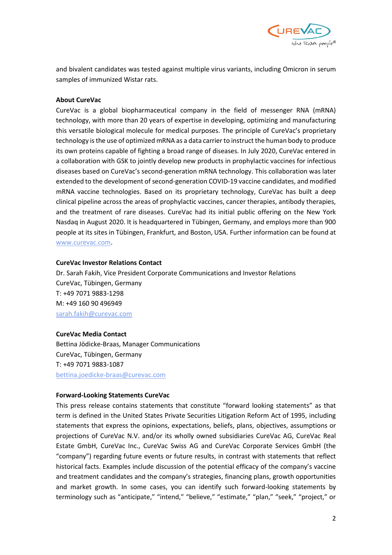

and bivalent candidates was tested against multiple virus variants, including Omicron in serum samples of immunized Wistar rats.

## **About CureVac**

CureVac is a global biopharmaceutical company in the field of messenger RNA (mRNA) technology, with more than 20 years of expertise in developing, optimizing and manufacturing this versatile biological molecule for medical purposes. The principle of CureVac's proprietary technology is the use of optimized mRNA as a data carrier to instruct the human body to produce its own proteins capable of fighting a broad range of diseases. In July 2020, CureVac entered in a collaboration with GSK to jointly develop new products in prophylactic vaccines for infectious diseases based on CureVac's second-generation mRNA technology. This collaboration was later extended to the development of second-generation COVID-19 vaccine candidates, and modified mRNA vaccine technologies. Based on its proprietary technology, CureVac has built a deep clinical pipeline across the areas of prophylactic vaccines, cancer therapies, antibody therapies, and the treatment of rare diseases. CureVac had its initial public offering on the New York Nasdaq in August 2020. It is headquartered in Tübingen, Germany, and employs more than 900 people at its sites in Tübingen, Frankfurt, and Boston, USA. Further information can be found at [www.curevac.com.](http://www.curevac.com/)

## **CureVac Investor Relations Contact**

Dr. Sarah Fakih, Vice President Corporate Communications and Investor Relations CureVac, Tübingen, Germany T: +49 7071 9883-1298 M: +49 160 90 496949 [sarah.fakih@curevac.com](mailto:sarah.fakih@curevac.com)

## **CureVac Media Contact**

Bettina Jödicke-Braas, Manager Communications CureVac, Tübingen, Germany T: +49 7071 9883-1087 [bettina.joedicke-braas@curevac.com](mailto:bettina.joedicke-braas@curevac.com) 

## **Forward-Looking Statements CureVac**

This press release contains statements that constitute "forward looking statements" as that term is defined in the United States Private Securities Litigation Reform Act of 1995, including statements that express the opinions, expectations, beliefs, plans, objectives, assumptions or projections of CureVac N.V. and/or its wholly owned subsidiaries CureVac AG, CureVac Real Estate GmbH, CureVac Inc., CureVac Swiss AG and CureVac Corporate Services GmbH (the "company") regarding future events or future results, in contrast with statements that reflect historical facts. Examples include discussion of the potential efficacy of the company's vaccine and treatment candidates and the company's strategies, financing plans, growth opportunities and market growth. In some cases, you can identify such forward-looking statements by terminology such as "anticipate," "intend," "believe," "estimate," "plan," "seek," "project," or